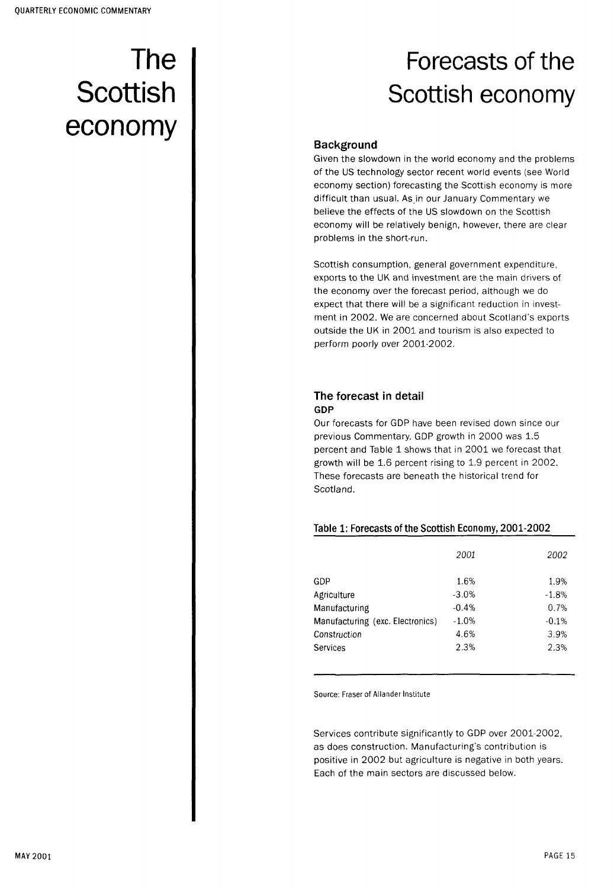# The **Scottish** economy

## Forecasts of the Scottish economy

#### **Background**

Given the slowdown in the world economy and the problems of the US technology sector recent world events (see World economy section) forecasting the Scottish economy is more difficult than usual. As in our January Commentary we believe the effects of the US slowdown on the Scottish economy will be relatively benign, however, there are clear problems in the short-run.

Scottish consumption, general government expenditure, exports to the UK and investment are the main drivers of the economy over the forecast period, although we do expect that there will be a significant reduction in investment in 2002. We are concerned about Scotland's exports outside the UK in 2001 and tourism is also expected to perform poorly over 2001-2002.

#### The forecast in detail **GDP**

Our forecasts for GDP have been revised down since our previous Commentary. GDP growth in 2000 was 1.5 percent and Table 1 shows that in 2001 we forecast that growth will be 1.6 percent rising to 1.9 percent in 2002. These forecasts are beneath the historical trend for Scotland.

#### Table 1: Forecasts of the Scottish Economy, 2001-2002

|                                  | 2001    | 2002    |
|----------------------------------|---------|---------|
| GDP                              | 1.6%    | 1.9%    |
| Agriculture                      | $-3.0%$ | $-1.8%$ |
| Manufacturing                    | $-0.4%$ | 0.7%    |
| Manufacturing (exc. Electronics) | $-1.0%$ | $-0.1%$ |
| Construction                     | 4.6%    | 3.9%    |
| Services                         | 2.3%    | 2.3%    |

Source: Fraser of Allander Institute

Services contribute significantly to GDP over 2001-2002, as does construction. Manufacturing's contribution is positive in 2002 but agriculture is negative in both years. Each of the main sectors are discussed below.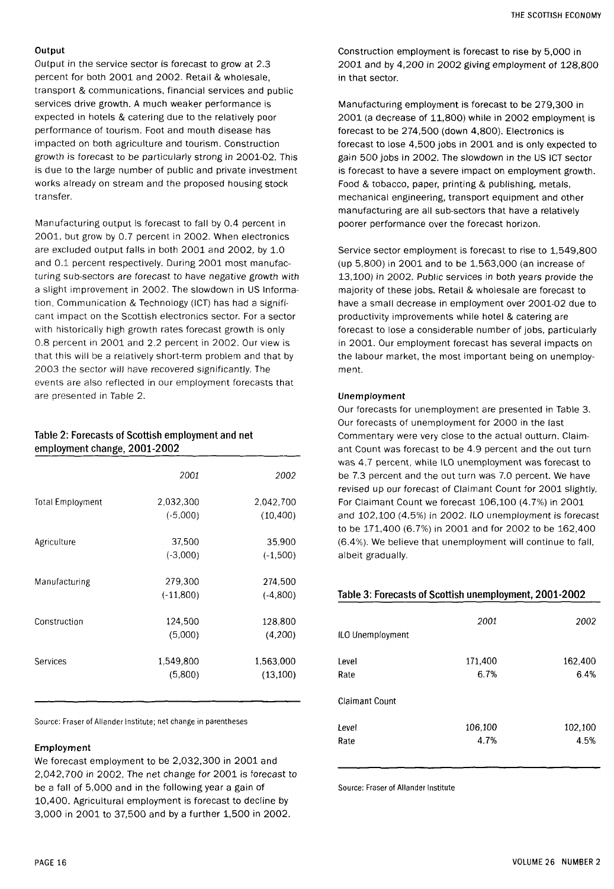#### **Output**

Output in the service sector is forecast to grow at 2.3 percent for both 2001 and 2002. Retail & wholesale, transport & communications, financial services and public services drive growth. A much weaker performance is expected in hotels & catering due to the relatively poor performance of tourism. Foot and mouth disease has impacted on both agriculture and tourism. Construction growth is forecast to be particularly strong in 2001-02 . This is due to the large number of public and private investment works already on stream and the proposed housing stock transfer.

Manufacturing output is forecast to fall by 0.4 percent in 2001, but grow by 0.7 percent in 2002. When electronics are excluded output falls in both 2001 and 2002, by 1.0 and 0.1 percent respectively. During 2001 most manufacturing sub-sectors are forecast to have negative growth with a slight improvement in 2002 . The slowdown in US Information, Communication & Technology (ICT) has had a significant impact on the Scottish electronics sector. For a sector with historically high growth rates forecast growth is only 0.8 percent in 2001 and 2.2 percent in 2002. Our view is that this will be a relatively short-term problem and that by 2003 the sector will have recovered significantly. The events are also reflected in our employment forecasts that are presented in Table 2.

#### Table 2: Forecasts of Scottish employment and net employment change, 2001-2002

|                         | 2001                    | 2002                   |
|-------------------------|-------------------------|------------------------|
| <b>Total Employment</b> | 2 032 300<br>$(-5,000)$ | 2,042,700<br>(10, 400) |
| Agriculture             | 37,500<br>$(-3,000)$    | 35,900<br>$(-1,500)$   |
| Manufacturing           | 279,300<br>$(-11,800)$  | 274,500<br>$(-4,800)$  |
| Construction            | 124,500<br>(5,000)      | 128,800<br>(4,200)     |
| Services                | 1,549,800<br>(5,800)    | 1,563,000<br>(13,100)  |

Source: Fraser of Allander Institute; net change in parentheses

#### **Employment**

We forecast employment to be 2,032,300 in 2001 and 2,042,700 in 2002. The net change for 2001 is forecast to be a fall of 5,000 and in the following year a gain of 10,400 . Agricultural employment is forecast to decline by 3,000 in 2001 to 37,500 and by a further 1,500 in 2002.

Construction employment is forecast to rise by 5,000 in 2001 and by 4,200 in 2002 giving employment of 128,800 in that sector.

Manufacturing employment is forecast to be 279,300 in  $2001$  (a decrease of  $11,800$ ) while in  $2002$  employment is forecast to be 274,500 (down 4,800). Electronics is forecast to lose 4,500 jobs in 2001 and is only expected to gain 500 jobs in 2002. The slowdown in the US ICT sector is forecast to have a severe impact on employment growth. Food & tobacco, paper, printing & publishing, metals, mechanical engineering, transport equipment and other manufacturing are all sub-sectors that have a relatively poorer performance over the forecast horizon.

Service sector employment is forecast to rise to 1,549,800 (up 5,800) in 2001 and to be 1,563,000 (an increase of 13,100) in 2002 . Public services in both years provide the majority of these jobs. Retail & wholesale are forecast to have a small decrease in employment over 2001-02 due to productivity improvements while hotel & catering are forecast to lose a considerable number of jobs, particularly in 2001. Our employment forecast has several impacts on the labour market, the most important being on unemployment.

#### **Unemployment**

Our forecasts for unemployment are presented in Table 3. Our forecasts of unemployment for 2000 in the last Commentary were very close to the actual outturn. Claimant Count was forecast to be 4.9 percent and the out turn was 4.7 percent, while ILO unemployment was forecast to be 7.3 percent and the out turn was 7.0 percent. We have revised up our forecast of Claimant Count for 2001 slightly. For Claimant Count we forecast 106,100 (4.7%) in 2001 and 102,100 (4.5%) in 2002. ILO unemployment is forecast to be 171,400 (6.7%) in 2001 and for 2002 to be 162,400 (6.4%). We believe that unemployment will continue to fall, albeit gradually.

#### Table 3: Forecasts of Scottish unemployment, 2001-2002

| 28,800  |                  | 2001    | 2002    |
|---------|------------------|---------|---------|
| (4,200) | ILO Unemployment |         |         |
| 63,000  | Level            | 171,400 | 162,400 |
| 13,100) | Rate             | 6.7%    | 6.4%    |
|         | Claimant Count   |         |         |
|         | Level            | 106,100 | 102,100 |
|         | Rate             | 4.7%    | 4.5%    |
|         |                  |         |         |

Source: Fraser of Allander Institute